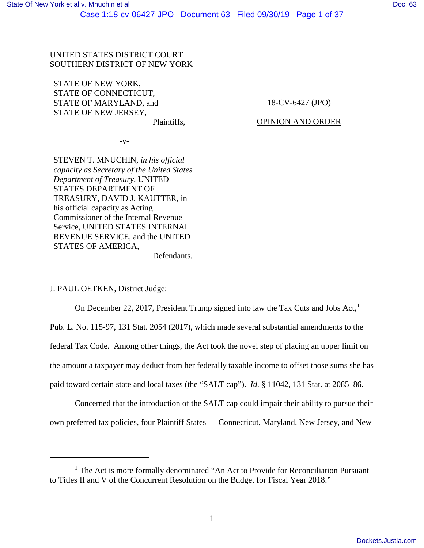# UNITED STATES DISTRICT COURT SOUTHERN DISTRICT OF NEW YORK

STATE OF NEW YORK, STATE OF CONNECTICUT, STATE OF MARYLAND, and STATE OF NEW JERSEY,

Plaintiffs,

-v-

STEVEN T. MNUCHIN, *in his official capacity as Secretary of the United States Department of Treasury*, UNITED STATES DEPARTMENT OF TREASURY, DAVID J. KAUTTER, in his official capacity as Acting Commissioner of the Internal Revenue Service, UNITED STATES INTERNAL REVENUE SERVICE, and the UNITED STATES OF AMERICA,

Defendants.

18-CV-6427 (JPO)

## OPINION AND ORDER

J. PAUL OETKEN, District Judge:

 $\overline{a}$ 

On December 22, 2017, President Trump signed into law the Tax Cuts and Jobs Act,<sup>1</sup>

Pub. L. No. 115-97, 131 Stat. 2054 (2017), which made several substantial amendments to the

federal Tax Code. Among other things, the Act took the novel step of placing an upper limit on

the amount a taxpayer may deduct from her federally taxable income to offset those sums she has

paid toward certain state and local taxes (the "SALT cap"). *Id.* § 11042, 131 Stat. at 2085–86.

Concerned that the introduction of the SALT cap could impair their ability to pursue their own preferred tax policies, four Plaintiff States — Connecticut, Maryland, New Jersey, and New

<sup>&</sup>lt;sup>1</sup> The Act is more formally denominated "An Act to Provide for Reconciliation Pursuant to Titles II and V of the Concurrent Resolution on the Budget for Fiscal Year 2018."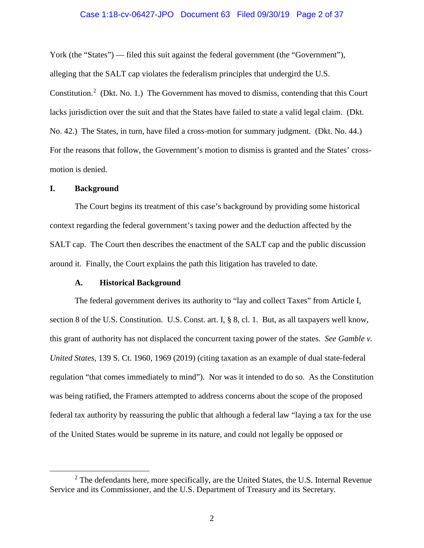# Case 1:18-cv-06427-JPO Document 63 Filed 09/30/19 Page 2 of 37

York (the "States") — filed this suit against the federal government (the "Government"), alleging that the SALT cap violates the federalism principles that undergird the U.S. Constitution.<sup>2</sup> (Dkt. No. 1.) The Government has moved to dismiss, contending that this Court lacks jurisdiction over the suit and that the States have failed to state a valid legal claim. (Dkt. No. 42.) The States, in turn, have filed a cross-motion for summary judgment. (Dkt. No. 44.) For the reasons that follow, the Government's motion to dismiss is granted and the States' crossmotion is denied.

### **I. Background**

The Court begins its treatment of this case's background by providing some historical context regarding the federal government's taxing power and the deduction affected by the SALT cap. The Court then describes the enactment of the SALT cap and the public discussion around it. Finally, the Court explains the path this litigation has traveled to date.

## **A. Historical Background**

The federal government derives its authority to "lay and collect Taxes" from Article I, section 8 of the U.S. Constitution. U.S. Const. art. I, § 8, cl. 1. But, as all taxpayers well know, this grant of authority has not displaced the concurrent taxing power of the states. *See Gamble v. United States*, 139 S. Ct. 1960, 1969 (2019) (citing taxation as an example of dual state-federal regulation "that comes immediately to mind"). Nor was it intended to do so. As the Constitution was being ratified, the Framers attempted to address concerns about the scope of the proposed federal tax authority by reassuring the public that although a federal law "laying a tax for the use of the United States would be supreme in its nature, and could not legally be opposed or

 $2$  The defendants here, more specifically, are the United States, the U.S. Internal Revenue Service and its Commissioner, and the U.S. Department of Treasury and its Secretary.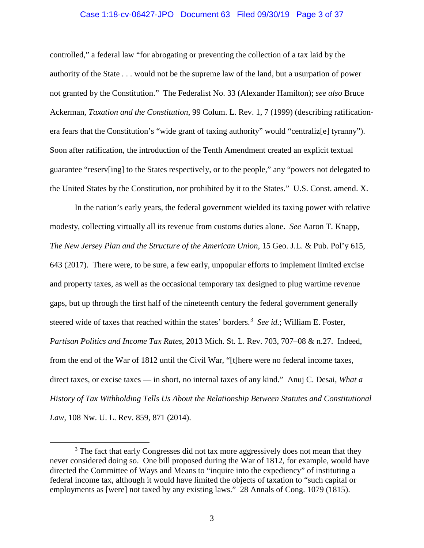#### Case 1:18-cv-06427-JPO Document 63 Filed 09/30/19 Page 3 of 37

controlled," a federal law "for abrogating or preventing the collection of a tax laid by the authority of the State . . . would not be the supreme law of the land, but a usurpation of power not granted by the Constitution." The Federalist No. 33 (Alexander Hamilton); *see also* Bruce Ackerman, *Taxation and the Constitution*, 99 Colum. L. Rev. 1, 7 (1999) (describing ratificationera fears that the Constitution's "wide grant of taxing authority" would "centraliz[e] tyranny"). Soon after ratification, the introduction of the Tenth Amendment created an explicit textual guarantee "reserv[ing] to the States respectively, or to the people," any "powers not delegated to the United States by the Constitution, nor prohibited by it to the States." U.S. Const. amend. X.

In the nation's early years, the federal government wielded its taxing power with relative modesty, collecting virtually all its revenue from customs duties alone. *See* Aaron T. Knapp, *The New Jersey Plan and the Structure of the American Union*, 15 Geo. J.L. & Pub. Pol'y 615, 643 (2017). There were, to be sure, a few early, unpopular efforts to implement limited excise and property taxes, as well as the occasional temporary tax designed to plug wartime revenue gaps, but up through the first half of the nineteenth century the federal government generally steered wide of taxes that reached within the states' borders.<sup>3</sup> See id.; William E. Foster, *Partisan Politics and Income Tax Rates*, 2013 Mich. St. L. Rev. 703, 707–08 & n.27. Indeed, from the end of the War of 1812 until the Civil War, "[t]here were no federal income taxes, direct taxes, or excise taxes — in short, no internal taxes of any kind." Anuj C. Desai, *What a History of Tax Withholding Tells Us About the Relationship Between Statutes and Constitutional Law*, 108 Nw. U. L. Rev. 859, 871 (2014).

<sup>&</sup>lt;sup>3</sup> The fact that early Congresses did not tax more aggressively does not mean that they never considered doing so. One bill proposed during the War of 1812, for example, would have directed the Committee of Ways and Means to "inquire into the expediency" of instituting a federal income tax, although it would have limited the objects of taxation to "such capital or employments as [were] not taxed by any existing laws." 28 Annals of Cong. 1079 (1815).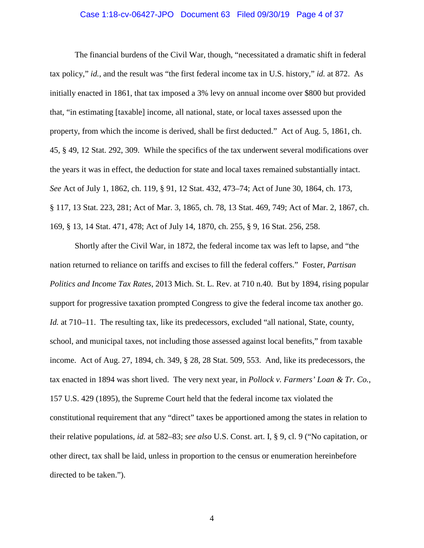#### Case 1:18-cv-06427-JPO Document 63 Filed 09/30/19 Page 4 of 37

The financial burdens of the Civil War, though, "necessitated a dramatic shift in federal tax policy," *id.*, and the result was "the first federal income tax in U.S. history," *id.* at 872. As initially enacted in 1861, that tax imposed a 3% levy on annual income over \$800 but provided that, "in estimating [taxable] income, all national, state, or local taxes assessed upon the property, from which the income is derived, shall be first deducted." Act of Aug. 5, 1861, ch. 45, § 49, 12 Stat. 292, 309. While the specifics of the tax underwent several modifications over the years it was in effect, the deduction for state and local taxes remained substantially intact. *See* Act of July 1, 1862, ch. 119, § 91, 12 Stat. 432, 473–74; Act of June 30, 1864, ch. 173, § 117, 13 Stat. 223, 281; Act of Mar. 3, 1865, ch. 78, 13 Stat. 469, 749; Act of Mar. 2, 1867, ch. 169, § 13, 14 Stat. 471, 478; Act of July 14, 1870, ch. 255, § 9, 16 Stat. 256, 258.

Shortly after the Civil War, in 1872, the federal income tax was left to lapse, and "the nation returned to reliance on tariffs and excises to fill the federal coffers." Foster, *Partisan Politics and Income Tax Rates*, 2013 Mich. St. L. Rev. at 710 n.40. But by 1894, rising popular support for progressive taxation prompted Congress to give the federal income tax another go. *Id.* at 710–11. The resulting tax, like its predecessors, excluded "all national, State, county, school, and municipal taxes, not including those assessed against local benefits," from taxable income. Act of Aug. 27, 1894, ch. 349, § 28, 28 Stat. 509, 553. And, like its predecessors, the tax enacted in 1894 was short lived. The very next year, in *Pollock v. Farmers' Loan & Tr. Co.*, 157 U.S. 429 (1895), the Supreme Court held that the federal income tax violated the constitutional requirement that any "direct" taxes be apportioned among the states in relation to their relative populations, *id.* at 582–83; *see also* U.S. Const. art. I, § 9, cl. 9 ("No capitation, or other direct, tax shall be laid, unless in proportion to the census or enumeration hereinbefore directed to be taken.").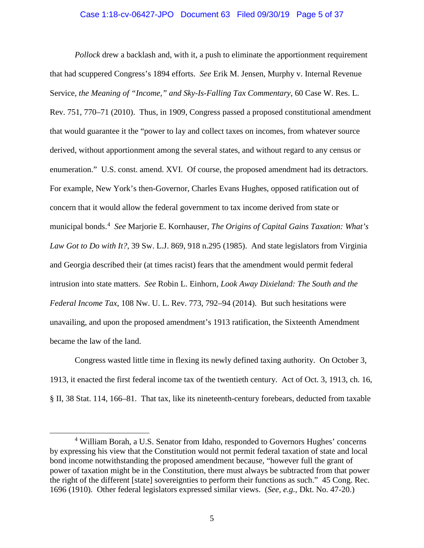#### Case 1:18-cv-06427-JPO Document 63 Filed 09/30/19 Page 5 of 37

*Pollock* drew a backlash and, with it, a push to eliminate the apportionment requirement that had scuppered Congress's 1894 efforts. *See* Erik M. Jensen, Murphy v. Internal Revenue Service*, the Meaning of "Income," and Sky-Is-Falling Tax Commentary*, 60 Case W. Res. L. Rev. 751, 770–71 (2010). Thus, in 1909, Congress passed a proposed constitutional amendment that would guarantee it the "power to lay and collect taxes on incomes, from whatever source derived, without apportionment among the several states, and without regard to any census or enumeration." U.S. const. amend. XVI. Of course, the proposed amendment had its detractors. For example, New York's then-Governor, Charles Evans Hughes, opposed ratification out of concern that it would allow the federal government to tax income derived from state or municipal bonds.<sup>4</sup> *See* Marjorie E. Kornhauser, *The Origins of Capital Gains Taxation: What's Law Got to Do with It?*, 39 Sw. L.J. 869, 918 n.295 (1985). And state legislators from Virginia and Georgia described their (at times racist) fears that the amendment would permit federal intrusion into state matters. *See* Robin L. Einhorn, *Look Away Dixieland: The South and the Federal Income Tax*, 108 Nw. U. L. Rev. 773, 792–94 (2014). But such hesitations were unavailing, and upon the proposed amendment's 1913 ratification, the Sixteenth Amendment became the law of the land.

Congress wasted little time in flexing its newly defined taxing authority. On October 3, 1913, it enacted the first federal income tax of the twentieth century. Act of Oct. 3, 1913, ch. 16, § II, 38 Stat. 114, 166–81. That tax, like its nineteenth-century forebears, deducted from taxable

 <sup>4</sup> William Borah, a U.S. Senator from Idaho, responded to Governors Hughes' concerns by expressing his view that the Constitution would not permit federal taxation of state and local bond income notwithstanding the proposed amendment because, "however full the grant of power of taxation might be in the Constitution, there must always be subtracted from that power the right of the different [state] sovereignties to perform their functions as such." 45 Cong. Rec. 1696 (1910). Other federal legislators expressed similar views. (*See, e.g.*, Dkt. No. 47-20.)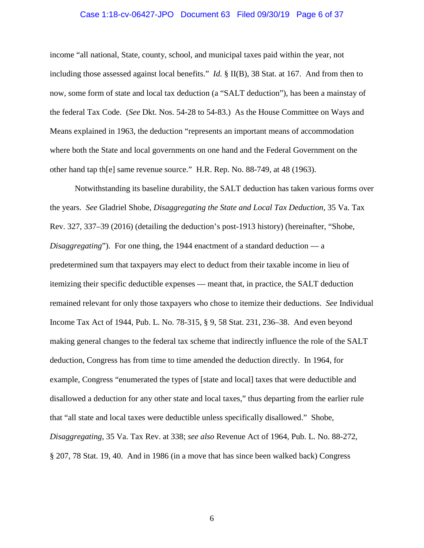# Case 1:18-cv-06427-JPO Document 63 Filed 09/30/19 Page 6 of 37

income "all national, State, county, school, and municipal taxes paid within the year, not including those assessed against local benefits." *Id.* § II(B), 38 Stat. at 167. And from then to now, some form of state and local tax deduction (a "SALT deduction"), has been a mainstay of the federal Tax Code. (*See* Dkt. Nos. 54-28 to 54-83.) As the House Committee on Ways and Means explained in 1963, the deduction "represents an important means of accommodation where both the State and local governments on one hand and the Federal Government on the other hand tap th[e] same revenue source." H.R. Rep. No. 88-749, at 48 (1963).

Notwithstanding its baseline durability, the SALT deduction has taken various forms over the years. *See* Gladriel Shobe, *Disaggregating the State and Local Tax Deduction*, 35 Va. Tax Rev. 327, 337–39 (2016) (detailing the deduction's post-1913 history) (hereinafter, "Shobe, *Disaggregating*"). For one thing, the 1944 enactment of a standard deduction — a predetermined sum that taxpayers may elect to deduct from their taxable income in lieu of itemizing their specific deductible expenses — meant that, in practice, the SALT deduction remained relevant for only those taxpayers who chose to itemize their deductions. *See* Individual Income Tax Act of 1944, Pub. L. No. 78-315, § 9, 58 Stat. 231, 236–38. And even beyond making general changes to the federal tax scheme that indirectly influence the role of the SALT deduction, Congress has from time to time amended the deduction directly. In 1964, for example, Congress "enumerated the types of [state and local] taxes that were deductible and disallowed a deduction for any other state and local taxes," thus departing from the earlier rule that "all state and local taxes were deductible unless specifically disallowed." Shobe, *Disaggregating*, 35 Va. Tax Rev. at 338; *see also* Revenue Act of 1964, Pub. L. No. 88-272, § 207, 78 Stat. 19, 40. And in 1986 (in a move that has since been walked back) Congress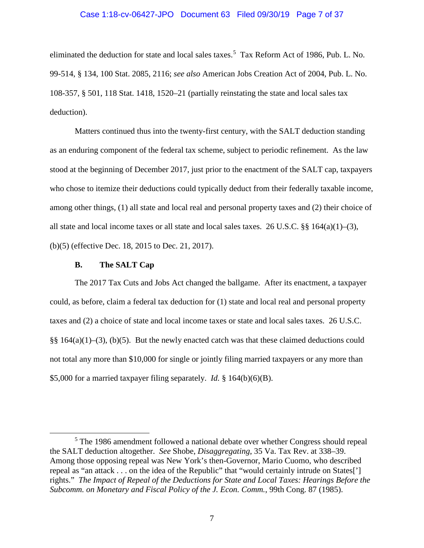#### Case 1:18-cv-06427-JPO Document 63 Filed 09/30/19 Page 7 of 37

eliminated the deduction for state and local sales taxes.<sup>5</sup> Tax Reform Act of 1986, Pub. L. No. 99-514, § 134, 100 Stat. 2085, 2116; *see also* American Jobs Creation Act of 2004, Pub. L. No. 108-357, § 501, 118 Stat. 1418, 1520–21 (partially reinstating the state and local sales tax deduction).

Matters continued thus into the twenty-first century, with the SALT deduction standing as an enduring component of the federal tax scheme, subject to periodic refinement. As the law stood at the beginning of December 2017, just prior to the enactment of the SALT cap, taxpayers who chose to itemize their deductions could typically deduct from their federally taxable income, among other things, (1) all state and local real and personal property taxes and (2) their choice of all state and local income taxes or all state and local sales taxes. 26 U.S.C.  $\S$  {  $164(a)(1)–(3)$ , (b)(5) (effective Dec. 18, 2015 to Dec. 21, 2017).

### **B. The SALT Cap**

The 2017 Tax Cuts and Jobs Act changed the ballgame. After its enactment, a taxpayer could, as before, claim a federal tax deduction for (1) state and local real and personal property taxes and (2) a choice of state and local income taxes or state and local sales taxes. 26 U.S.C. §§  $164(a)(1)–(3)$ , (b)(5). But the newly enacted catch was that these claimed deductions could not total any more than \$10,000 for single or jointly filing married taxpayers or any more than \$5,000 for a married taxpayer filing separately. *Id.* § 164(b)(6)(B).

<sup>&</sup>lt;sup>5</sup> The 1986 amendment followed a national debate over whether Congress should repeal the SALT deduction altogether. *See* Shobe, *Disaggregating*, 35 Va. Tax Rev. at 338–39. Among those opposing repeal was New York's then-Governor, Mario Cuomo, who described repeal as "an attack . . . on the idea of the Republic" that "would certainly intrude on States['] rights." *The Impact of Repeal of the Deductions for State and Local Taxes: Hearings Before the Subcomm. on Monetary and Fiscal Policy of the J. Econ. Comm.*, 99th Cong. 87 (1985).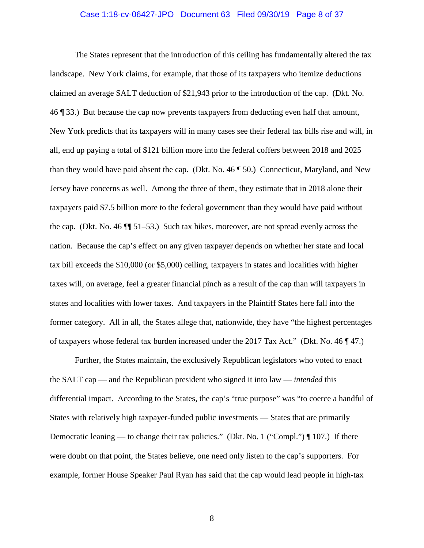#### Case 1:18-cv-06427-JPO Document 63 Filed 09/30/19 Page 8 of 37

The States represent that the introduction of this ceiling has fundamentally altered the tax landscape. New York claims, for example, that those of its taxpayers who itemize deductions claimed an average SALT deduction of \$21,943 prior to the introduction of the cap. (Dkt. No. 46 ¶ 33.) But because the cap now prevents taxpayers from deducting even half that amount, New York predicts that its taxpayers will in many cases see their federal tax bills rise and will, in all, end up paying a total of \$121 billion more into the federal coffers between 2018 and 2025 than they would have paid absent the cap. (Dkt. No. 46 ¶ 50.) Connecticut, Maryland, and New Jersey have concerns as well. Among the three of them, they estimate that in 2018 alone their taxpayers paid \$7.5 billion more to the federal government than they would have paid without the cap. (Dkt. No. 46 ¶¶ 51–53.) Such tax hikes, moreover, are not spread evenly across the nation. Because the cap's effect on any given taxpayer depends on whether her state and local tax bill exceeds the \$10,000 (or \$5,000) ceiling, taxpayers in states and localities with higher taxes will, on average, feel a greater financial pinch as a result of the cap than will taxpayers in states and localities with lower taxes. And taxpayers in the Plaintiff States here fall into the former category. All in all, the States allege that, nationwide, they have "the highest percentages of taxpayers whose federal tax burden increased under the 2017 Tax Act." (Dkt. No. 46  $\llbracket$  47.)

Further, the States maintain, the exclusively Republican legislators who voted to enact the SALT cap — and the Republican president who signed it into law — *intended* this differential impact. According to the States, the cap's "true purpose" was "to coerce a handful of States with relatively high taxpayer-funded public investments — States that are primarily Democratic leaning — to change their tax policies." (Dkt. No. 1 ("Compl.") ¶ 107.) If there were doubt on that point, the States believe, one need only listen to the cap's supporters. For example, former House Speaker Paul Ryan has said that the cap would lead people in high-tax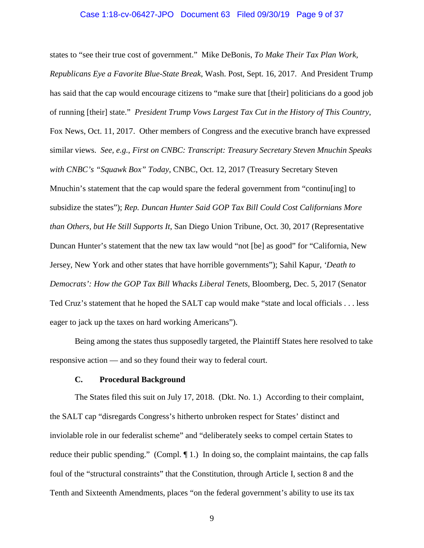#### Case 1:18-cv-06427-JPO Document 63 Filed 09/30/19 Page 9 of 37

states to "see their true cost of government." Mike DeBonis, *To Make Their Tax Plan Work, Republicans Eye a Favorite Blue-State Break*, Wash. Post, Sept. 16, 2017. And President Trump has said that the cap would encourage citizens to "make sure that [their] politicians do a good job of running [their] state." *President Trump Vows Largest Tax Cut in the History of This Country*, Fox News, Oct. 11, 2017. Other members of Congress and the executive branch have expressed similar views. *See, e.g.*, *First on CNBC: Transcript: Treasury Secretary Steven Mnuchin Speaks with CNBC's "Squawk Box" Today*, CNBC, Oct. 12, 2017 (Treasury Secretary Steven Mnuchin's statement that the cap would spare the federal government from "continu[ing] to subsidize the states"); *Rep. Duncan Hunter Said GOP Tax Bill Could Cost Californians More than Others, but He Still Supports It*, San Diego Union Tribune, Oct. 30, 2017 (Representative Duncan Hunter's statement that the new tax law would "not [be] as good" for "California, New Jersey, New York and other states that have horrible governments"); Sahil Kapur, *'Death to Democrats': How the GOP Tax Bill Whacks Liberal Tenets*, Bloomberg, Dec. 5, 2017 (Senator Ted Cruz's statement that he hoped the SALT cap would make "state and local officials . . . less eager to jack up the taxes on hard working Americans").

Being among the states thus supposedly targeted, the Plaintiff States here resolved to take responsive action — and so they found their way to federal court.

#### **C. Procedural Background**

The States filed this suit on July 17, 2018. (Dkt. No. 1.) According to their complaint, the SALT cap "disregards Congress's hitherto unbroken respect for States' distinct and inviolable role in our federalist scheme" and "deliberately seeks to compel certain States to reduce their public spending." (Compl.  $\P$ 1.) In doing so, the complaint maintains, the cap falls foul of the "structural constraints" that the Constitution, through Article I, section 8 and the Tenth and Sixteenth Amendments, places "on the federal government's ability to use its tax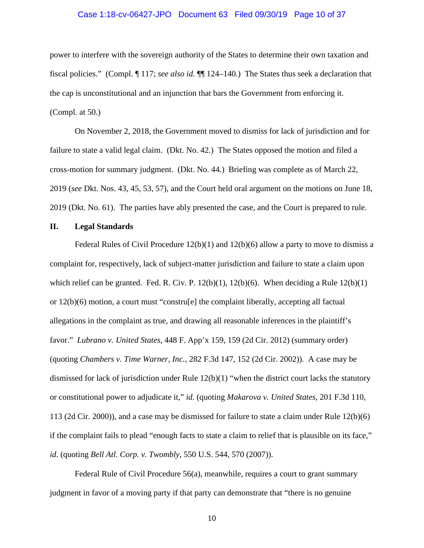#### Case 1:18-cv-06427-JPO Document 63 Filed 09/30/19 Page 10 of 37

power to interfere with the sovereign authority of the States to determine their own taxation and fiscal policies." (Compl. ¶ 117; *see also id.* ¶¶ 124–140.) The States thus seek a declaration that the cap is unconstitutional and an injunction that bars the Government from enforcing it. (Compl. at 50.)

On November 2, 2018, the Government moved to dismiss for lack of jurisdiction and for failure to state a valid legal claim. (Dkt. No. 42.) The States opposed the motion and filed a cross-motion for summary judgment. (Dkt. No. 44.) Briefing was complete as of March 22, 2019 (*see* Dkt. Nos. 43, 45, 53, 57), and the Court held oral argument on the motions on June 18, 2019 (Dkt. No. 61). The parties have ably presented the case, and the Court is prepared to rule.

## **II. Legal Standards**

Federal Rules of Civil Procedure  $12(b)(1)$  and  $12(b)(6)$  allow a party to move to dismiss a complaint for, respectively, lack of subject-matter jurisdiction and failure to state a claim upon which relief can be granted. Fed. R. Civ. P.  $12(b)(1)$ ,  $12(b)(6)$ . When deciding a Rule  $12(b)(1)$ or  $12(b)(6)$  motion, a court must "constru $[e]$  the complaint liberally, accepting all factual allegations in the complaint as true, and drawing all reasonable inferences in the plaintiff's favor." *Lubrano v. United States*, 448 F. App'x 159, 159 (2d Cir. 2012) (summary order) (quoting *Chambers v. Time Warner, Inc.*, 282 F.3d 147, 152 (2d Cir. 2002)). A case may be dismissed for lack of jurisdiction under Rule 12(b)(1) "when the district court lacks the statutory or constitutional power to adjudicate it," *id.* (quoting *Makarova v. United States*, 201 F.3d 110, 113 (2d Cir. 2000)), and a case may be dismissed for failure to state a claim under Rule 12(b)(6) if the complaint fails to plead "enough facts to state a claim to relief that is plausible on its face," *id.* (quoting *Bell Atl. Corp. v. Twombly*, 550 U.S. 544, 570 (2007)).

Federal Rule of Civil Procedure 56(a), meanwhile, requires a court to grant summary judgment in favor of a moving party if that party can demonstrate that "there is no genuine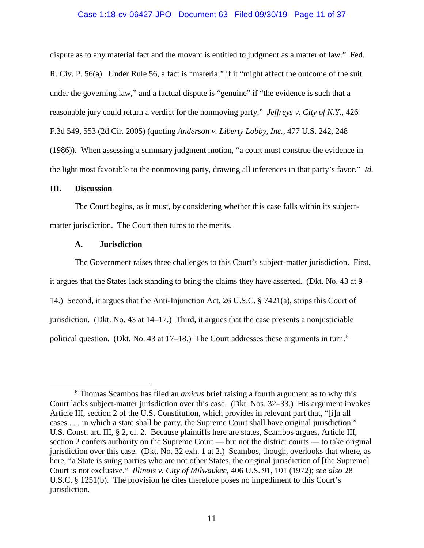# Case 1:18-cv-06427-JPO Document 63 Filed 09/30/19 Page 11 of 37

dispute as to any material fact and the movant is entitled to judgment as a matter of law." Fed. R. Civ. P. 56(a). Under Rule 56, a fact is "material" if it "might affect the outcome of the suit under the governing law," and a factual dispute is "genuine" if "the evidence is such that a reasonable jury could return a verdict for the nonmoving party." *Jeffreys v. City of N.Y.*, 426 F.3d 549, 553 (2d Cir. 2005) (quoting *Anderson v. Liberty Lobby, Inc.*, 477 U.S. 242, 248 (1986)). When assessing a summary judgment motion, "a court must construe the evidence in

# **III. Discussion**

The Court begins, as it must, by considering whether this case falls within its subjectmatter jurisdiction. The Court then turns to the merits.

the light most favorable to the nonmoving party, drawing all inferences in that party's favor." *Id.*

#### **A. Jurisdiction**

The Government raises three challenges to this Court's subject-matter jurisdiction. First, it argues that the States lack standing to bring the claims they have asserted. (Dkt. No. 43 at 9– 14.) Second, it argues that the Anti-Injunction Act, 26 U.S.C. § 7421(a), strips this Court of jurisdiction. (Dkt. No. 43 at 14–17.) Third, it argues that the case presents a nonjusticiable political question. (Dkt. No. 43 at 17–18.) The Court addresses these arguments in turn.<sup>6</sup>

 <sup>6</sup> Thomas Scambos has filed an *amicus* brief raising a fourth argument as to why this Court lacks subject-matter jurisdiction over this case. (Dkt. Nos. 32–33.) His argument invokes Article III, section 2 of the U.S. Constitution, which provides in relevant part that, "[i]n all cases . . . in which a state shall be party, the Supreme Court shall have original jurisdiction." U.S. Const. art. III, § 2, cl. 2. Because plaintiffs here are states, Scambos argues, Article III, section 2 confers authority on the Supreme Court — but not the district courts — to take original jurisdiction over this case. (Dkt. No. 32 exh. 1 at 2.) Scambos, though, overlooks that where, as here, "a State is suing parties who are not other States, the original jurisdiction of [the Supreme] Court is not exclusive." *Illinois v. City of Milwaukee*, 406 U.S. 91, 101 (1972); *see also* 28 U.S.C. § 1251(b). The provision he cites therefore poses no impediment to this Court's jurisdiction.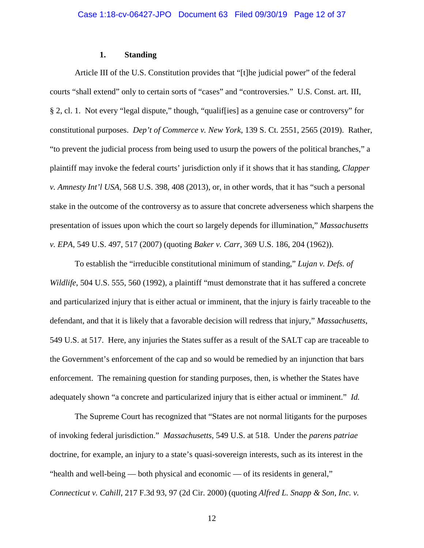# **1. Standing**

Article III of the U.S. Constitution provides that "[t]he judicial power" of the federal courts "shall extend" only to certain sorts of "cases" and "controversies." U.S. Const. art. III, § 2, cl. 1. Not every "legal dispute," though, "qualif[ies] as a genuine case or controversy" for constitutional purposes. *Dep't of Commerce v. New York*, 139 S. Ct. 2551, 2565 (2019). Rather, "to prevent the judicial process from being used to usurp the powers of the political branches," a plaintiff may invoke the federal courts' jurisdiction only if it shows that it has standing, *Clapper v. Amnesty Int'l USA*, 568 U.S. 398, 408 (2013), or, in other words, that it has "such a personal stake in the outcome of the controversy as to assure that concrete adverseness which sharpens the presentation of issues upon which the court so largely depends for illumination," *Massachusetts v. EPA*, 549 U.S. 497, 517 (2007) (quoting *Baker v. Carr*, 369 U.S. 186, 204 (1962)).

To establish the "irreducible constitutional minimum of standing," *Lujan v. Defs. of Wildlife*, 504 U.S. 555, 560 (1992), a plaintiff "must demonstrate that it has suffered a concrete and particularized injury that is either actual or imminent, that the injury is fairly traceable to the defendant, and that it is likely that a favorable decision will redress that injury," *Massachusetts*, 549 U.S. at 517. Here, any injuries the States suffer as a result of the SALT cap are traceable to the Government's enforcement of the cap and so would be remedied by an injunction that bars enforcement. The remaining question for standing purposes, then, is whether the States have adequately shown "a concrete and particularized injury that is either actual or imminent." *Id.*

The Supreme Court has recognized that "States are not normal litigants for the purposes of invoking federal jurisdiction." *Massachusetts*, 549 U.S. at 518. Under the *parens patriae* doctrine, for example, an injury to a state's quasi-sovereign interests, such as its interest in the "health and well-being — both physical and economic — of its residents in general," *Connecticut v. Cahill*, 217 F.3d 93, 97 (2d Cir. 2000) (quoting *Alfred L. Snapp & Son, Inc. v.*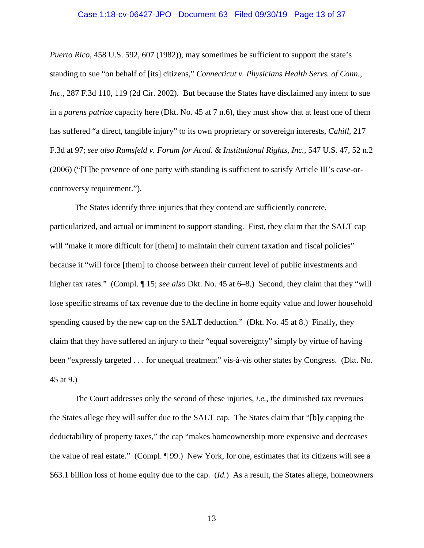#### Case 1:18-cv-06427-JPO Document 63 Filed 09/30/19 Page 13 of 37

*Puerto Rico*, 458 U.S. 592, 607 (1982)), may sometimes be sufficient to support the state's standing to sue "on behalf of [its] citizens," *Connecticut v. Physicians Health Servs. of Conn., Inc.*, 287 F.3d 110, 119 (2d Cir. 2002). But because the States have disclaimed any intent to sue in a *parens patriae* capacity here (Dkt. No. 45 at 7 n.6), they must show that at least one of them has suffered "a direct, tangible injury" to its own proprietary or sovereign interests, *Cahill*, 217 F.3d at 97; *see also Rumsfeld v. Forum for Acad. & Institutional Rights, Inc.*, 547 U.S. 47, 52 n.2 (2006) ("[T]he presence of one party with standing is sufficient to satisfy Article III's case-orcontroversy requirement.").

The States identify three injuries that they contend are sufficiently concrete, particularized, and actual or imminent to support standing. First, they claim that the SALT cap will "make it more difficult for [them] to maintain their current taxation and fiscal policies" because it "will force [them] to choose between their current level of public investments and higher tax rates." (Compl. ¶ 15; *see also* Dkt. No. 45 at 6–8.) Second, they claim that they "will lose specific streams of tax revenue due to the decline in home equity value and lower household spending caused by the new cap on the SALT deduction." (Dkt. No. 45 at 8.) Finally, they claim that they have suffered an injury to their "equal sovereignty" simply by virtue of having been "expressly targeted . . . for unequal treatment" vis-à-vis other states by Congress. (Dkt. No. 45 at 9.)

The Court addresses only the second of these injuries, *i.e.*, the diminished tax revenues the States allege they will suffer due to the SALT cap. The States claim that "[b]y capping the deductability of property taxes," the cap "makes homeownership more expensive and decreases the value of real estate." (Compl. ¶ 99.) New York, for one, estimates that its citizens will see a \$63.1 billion loss of home equity due to the cap. (*Id.*) As a result, the States allege, homeowners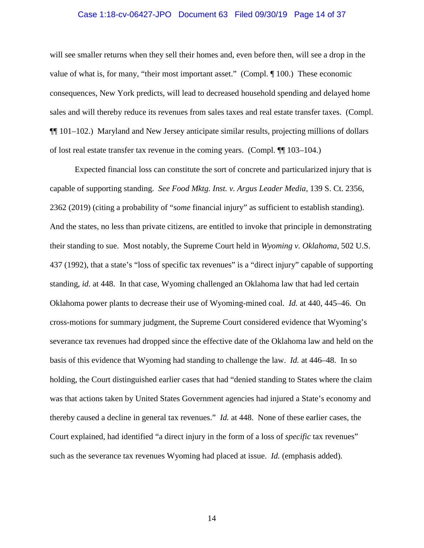#### Case 1:18-cv-06427-JPO Document 63 Filed 09/30/19 Page 14 of 37

will see smaller returns when they sell their homes and, even before then, will see a drop in the value of what is, for many, "their most important asset." (Compl. ¶ 100.) These economic consequences, New York predicts, will lead to decreased household spending and delayed home sales and will thereby reduce its revenues from sales taxes and real estate transfer taxes. (Compl. ¶¶ 101–102.) Maryland and New Jersey anticipate similar results, projecting millions of dollars of lost real estate transfer tax revenue in the coming years. (Compl. ¶¶ 103–104.)

Expected financial loss can constitute the sort of concrete and particularized injury that is capable of supporting standing. *See Food Mktg. Inst. v. Argus Leader Media*, 139 S. Ct. 2356, 2362 (2019) (citing a probability of "*some* financial injury" as sufficient to establish standing). And the states, no less than private citizens, are entitled to invoke that principle in demonstrating their standing to sue. Most notably, the Supreme Court held in *Wyoming v. Oklahoma*, 502 U.S. 437 (1992), that a state's "loss of specific tax revenues" is a "direct injury" capable of supporting standing, *id.* at 448. In that case, Wyoming challenged an Oklahoma law that had led certain Oklahoma power plants to decrease their use of Wyoming-mined coal. *Id.* at 440, 445–46. On cross-motions for summary judgment, the Supreme Court considered evidence that Wyoming's severance tax revenues had dropped since the effective date of the Oklahoma law and held on the basis of this evidence that Wyoming had standing to challenge the law. *Id.* at 446–48. In so holding, the Court distinguished earlier cases that had "denied standing to States where the claim was that actions taken by United States Government agencies had injured a State's economy and thereby caused a decline in general tax revenues." *Id.* at 448. None of these earlier cases, the Court explained, had identified "a direct injury in the form of a loss of *specific* tax revenues" such as the severance tax revenues Wyoming had placed at issue. *Id.* (emphasis added).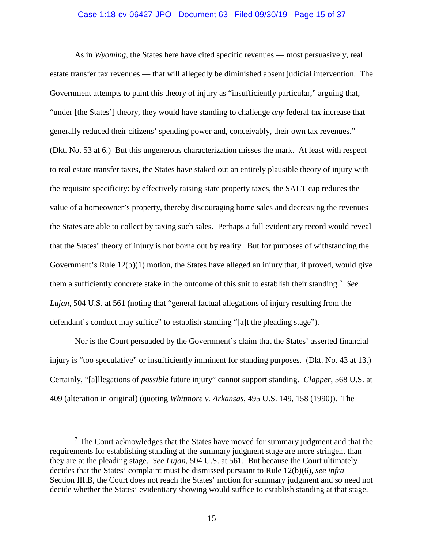#### Case 1:18-cv-06427-JPO Document 63 Filed 09/30/19 Page 15 of 37

As in *Wyoming*, the States here have cited specific revenues — most persuasively, real estate transfer tax revenues — that will allegedly be diminished absent judicial intervention. The Government attempts to paint this theory of injury as "insufficiently particular," arguing that, "under [the States'] theory, they would have standing to challenge *any* federal tax increase that generally reduced their citizens' spending power and, conceivably, their own tax revenues." (Dkt. No. 53 at 6.) But this ungenerous characterization misses the mark. At least with respect to real estate transfer taxes, the States have staked out an entirely plausible theory of injury with the requisite specificity: by effectively raising state property taxes, the SALT cap reduces the value of a homeowner's property, thereby discouraging home sales and decreasing the revenues the States are able to collect by taxing such sales. Perhaps a full evidentiary record would reveal that the States' theory of injury is not borne out by reality. But for purposes of withstanding the Government's Rule 12(b)(1) motion, the States have alleged an injury that, if proved, would give them a sufficiently concrete stake in the outcome of this suit to establish their standing. 7 *See Lujan*, 504 U.S. at 561 (noting that "general factual allegations of injury resulting from the defendant's conduct may suffice" to establish standing "[a]t the pleading stage").

Nor is the Court persuaded by the Government's claim that the States' asserted financial injury is "too speculative" or insufficiently imminent for standing purposes. (Dkt. No. 43 at 13.) Certainly, "[a]llegations of *possible* future injury" cannot support standing. *Clapper*, 568 U.S. at 409 (alteration in original) (quoting *Whitmore v. Arkansas*, 495 U.S. 149, 158 (1990)). The

 $<sup>7</sup>$  The Court acknowledges that the States have moved for summary judgment and that the</sup> requirements for establishing standing at the summary judgment stage are more stringent than they are at the pleading stage. *See Lujan*, 504 U.S. at 561. But because the Court ultimately decides that the States' complaint must be dismissed pursuant to Rule 12(b)(6), *see infra* Section III.B, the Court does not reach the States' motion for summary judgment and so need not decide whether the States' evidentiary showing would suffice to establish standing at that stage.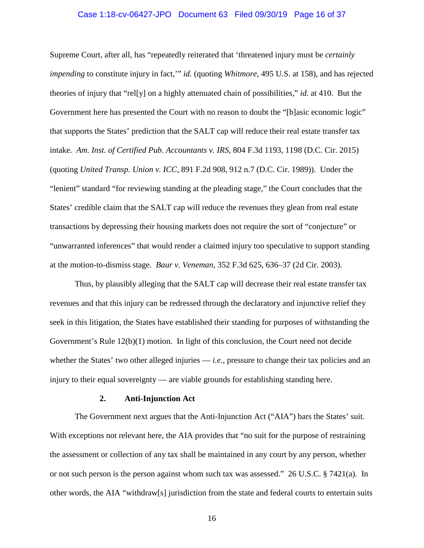#### Case 1:18-cv-06427-JPO Document 63 Filed 09/30/19 Page 16 of 37

Supreme Court, after all, has "repeatedly reiterated that 'threatened injury must be *certainly impending* to constitute injury in fact,'" *id.* (quoting *Whitmore*, 495 U.S. at 158), and has rejected theories of injury that "rel[y] on a highly attenuated chain of possibilities," *id.* at 410. But the Government here has presented the Court with no reason to doubt the "[b]asic economic logic" that supports the States' prediction that the SALT cap will reduce their real estate transfer tax intake. *Am. Inst. of Certified Pub. Accountants v. IRS*, 804 F.3d 1193, 1198 (D.C. Cir. 2015) (quoting *United Transp. Union v. ICC*, 891 F.2d 908, 912 n.7 (D.C. Cir. 1989)). Under the "lenient" standard "for reviewing standing at the pleading stage," the Court concludes that the States' credible claim that the SALT cap will reduce the revenues they glean from real estate transactions by depressing their housing markets does not require the sort of "conjecture" or "unwarranted inferences" that would render a claimed injury too speculative to support standing at the motion-to-dismiss stage. *Baur v. Veneman*, 352 F.3d 625, 636–37 (2d Cir. 2003).

Thus, by plausibly alleging that the SALT cap will decrease their real estate transfer tax revenues and that this injury can be redressed through the declaratory and injunctive relief they seek in this litigation, the States have established their standing for purposes of withstanding the Government's Rule 12(b)(1) motion. In light of this conclusion, the Court need not decide whether the States' two other alleged injuries — *i.e.*, pressure to change their tax policies and an injury to their equal sovereignty — are viable grounds for establishing standing here.

#### **2. Anti-Injunction Act**

The Government next argues that the Anti-Injunction Act ("AIA") bars the States' suit. With exceptions not relevant here, the AIA provides that "no suit for the purpose of restraining the assessment or collection of any tax shall be maintained in any court by any person, whether or not such person is the person against whom such tax was assessed." 26 U.S.C. § 7421(a). In other words, the AIA "withdraw[s] jurisdiction from the state and federal courts to entertain suits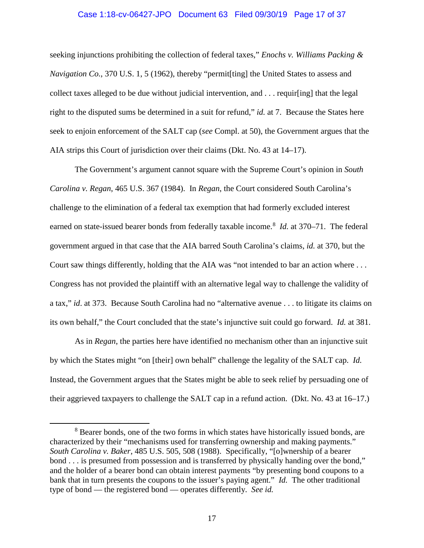# Case 1:18-cv-06427-JPO Document 63 Filed 09/30/19 Page 17 of 37

seeking injunctions prohibiting the collection of federal taxes," *Enochs v. Williams Packing & Navigation Co.*, 370 U.S. 1, 5 (1962), thereby "permit[ting] the United States to assess and collect taxes alleged to be due without judicial intervention, and . . . requir[ing] that the legal right to the disputed sums be determined in a suit for refund," *id.* at 7. Because the States here seek to enjoin enforcement of the SALT cap (*see* Compl. at 50), the Government argues that the AIA strips this Court of jurisdiction over their claims (Dkt. No. 43 at 14–17).

The Government's argument cannot square with the Supreme Court's opinion in *South Carolina v. Regan*, 465 U.S. 367 (1984). In *Regan*, the Court considered South Carolina's challenge to the elimination of a federal tax exemption that had formerly excluded interest earned on state-issued bearer bonds from federally taxable income. 8 *Id.* at 370–71. The federal government argued in that case that the AIA barred South Carolina's claims, *id.* at 370, but the Court saw things differently, holding that the AIA was "not intended to bar an action where . . . Congress has not provided the plaintiff with an alternative legal way to challenge the validity of a tax," *id*. at 373. Because South Carolina had no "alternative avenue . . . to litigate its claims on its own behalf," the Court concluded that the state's injunctive suit could go forward. *Id.* at 381.

As in *Regan*, the parties here have identified no mechanism other than an injunctive suit by which the States might "on [their] own behalf" challenge the legality of the SALT cap. *Id.* Instead, the Government argues that the States might be able to seek relief by persuading one of their aggrieved taxpayers to challenge the SALT cap in a refund action. (Dkt. No. 43 at 16–17.)

<sup>&</sup>lt;sup>8</sup> Bearer bonds, one of the two forms in which states have historically issued bonds, are characterized by their "mechanisms used for transferring ownership and making payments." *South Carolina v. Baker*, 485 U.S. 505, 508 (1988). Specifically, "[o]wnership of a bearer bond . . . is presumed from possession and is transferred by physically handing over the bond," and the holder of a bearer bond can obtain interest payments "by presenting bond coupons to a bank that in turn presents the coupons to the issuer's paying agent." *Id.* The other traditional type of bond — the registered bond — operates differently. *See id.*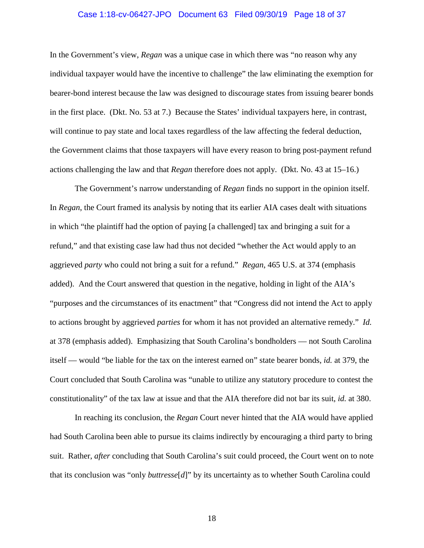#### Case 1:18-cv-06427-JPO Document 63 Filed 09/30/19 Page 18 of 37

In the Government's view, *Regan* was a unique case in which there was "no reason why any individual taxpayer would have the incentive to challenge" the law eliminating the exemption for bearer-bond interest because the law was designed to discourage states from issuing bearer bonds in the first place. (Dkt. No. 53 at 7.) Because the States' individual taxpayers here, in contrast, will continue to pay state and local taxes regardless of the law affecting the federal deduction, the Government claims that those taxpayers will have every reason to bring post-payment refund actions challenging the law and that *Regan* therefore does not apply. (Dkt. No. 43 at 15–16.)

The Government's narrow understanding of *Regan* finds no support in the opinion itself. In *Regan*, the Court framed its analysis by noting that its earlier AIA cases dealt with situations in which "the plaintiff had the option of paying [a challenged] tax and bringing a suit for a refund," and that existing case law had thus not decided "whether the Act would apply to an aggrieved *party* who could not bring a suit for a refund." *Regan*, 465 U.S. at 374 (emphasis added). And the Court answered that question in the negative, holding in light of the AIA's "purposes and the circumstances of its enactment" that "Congress did not intend the Act to apply to actions brought by aggrieved *parties* for whom it has not provided an alternative remedy." *Id.* at 378 (emphasis added). Emphasizing that South Carolina's bondholders — not South Carolina itself — would "be liable for the tax on the interest earned on" state bearer bonds, *id.* at 379, the Court concluded that South Carolina was "unable to utilize any statutory procedure to contest the constitutionality" of the tax law at issue and that the AIA therefore did not bar its suit, *id.* at 380.

In reaching its conclusion, the *Regan* Court never hinted that the AIA would have applied had South Carolina been able to pursue its claims indirectly by encouraging a third party to bring suit. Rather, *after* concluding that South Carolina's suit could proceed, the Court went on to note that its conclusion was "only *buttresse*[*d*]" by its uncertainty as to whether South Carolina could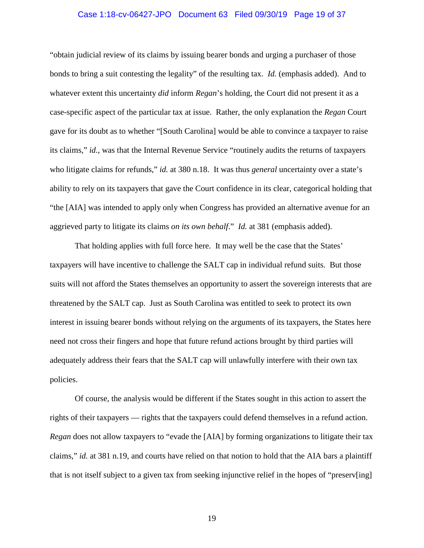#### Case 1:18-cv-06427-JPO Document 63 Filed 09/30/19 Page 19 of 37

"obtain judicial review of its claims by issuing bearer bonds and urging a purchaser of those bonds to bring a suit contesting the legality" of the resulting tax. *Id.* (emphasis added). And to whatever extent this uncertainty *did* inform *Regan*'s holding, the Court did not present it as a case-specific aspect of the particular tax at issue. Rather, the only explanation the *Regan* Court gave for its doubt as to whether "[South Carolina] would be able to convince a taxpayer to raise its claims," *id.*, was that the Internal Revenue Service "routinely audits the returns of taxpayers who litigate claims for refunds," *id.* at 380 n.18. It was thus *general* uncertainty over a state's ability to rely on its taxpayers that gave the Court confidence in its clear, categorical holding that "the [AIA] was intended to apply only when Congress has provided an alternative avenue for an aggrieved party to litigate its claims *on its own behalf*." *Id.* at 381 (emphasis added).

That holding applies with full force here. It may well be the case that the States' taxpayers will have incentive to challenge the SALT cap in individual refund suits. But those suits will not afford the States themselves an opportunity to assert the sovereign interests that are threatened by the SALT cap. Just as South Carolina was entitled to seek to protect its own interest in issuing bearer bonds without relying on the arguments of its taxpayers, the States here need not cross their fingers and hope that future refund actions brought by third parties will adequately address their fears that the SALT cap will unlawfully interfere with their own tax policies.

Of course, the analysis would be different if the States sought in this action to assert the rights of their taxpayers — rights that the taxpayers could defend themselves in a refund action. *Regan* does not allow taxpayers to "evade the [AIA] by forming organizations to litigate their tax claims," *id.* at 381 n.19, and courts have relied on that notion to hold that the AIA bars a plaintiff that is not itself subject to a given tax from seeking injunctive relief in the hopes of "preserv[ing]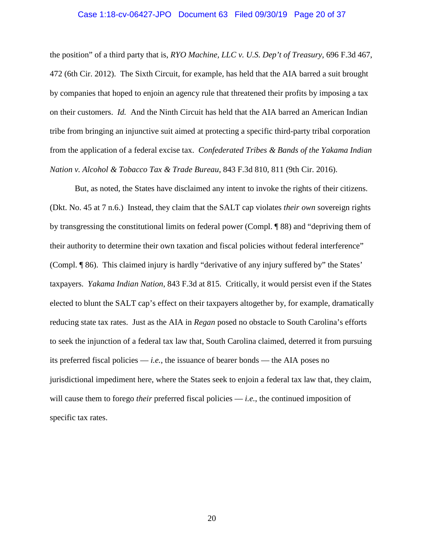#### Case 1:18-cv-06427-JPO Document 63 Filed 09/30/19 Page 20 of 37

the position" of a third party that is, *RYO Machine, LLC v. U.S. Dep't of Treasury*, 696 F.3d 467, 472 (6th Cir. 2012). The Sixth Circuit, for example, has held that the AIA barred a suit brought by companies that hoped to enjoin an agency rule that threatened their profits by imposing a tax on their customers. *Id.* And the Ninth Circuit has held that the AIA barred an American Indian tribe from bringing an injunctive suit aimed at protecting a specific third-party tribal corporation from the application of a federal excise tax. *Confederated Tribes & Bands of the Yakama Indian Nation v. Alcohol & Tobacco Tax & Trade Bureau*, 843 F.3d 810, 811 (9th Cir. 2016).

But, as noted, the States have disclaimed any intent to invoke the rights of their citizens. (Dkt. No. 45 at 7 n.6.) Instead, they claim that the SALT cap violates *their own* sovereign rights by transgressing the constitutional limits on federal power (Compl. ¶ 88) and "depriving them of their authority to determine their own taxation and fiscal policies without federal interference" (Compl. ¶ 86). This claimed injury is hardly "derivative of any injury suffered by" the States' taxpayers. *Yakama Indian Nation*, 843 F.3d at 815. Critically, it would persist even if the States elected to blunt the SALT cap's effect on their taxpayers altogether by, for example, dramatically reducing state tax rates. Just as the AIA in *Regan* posed no obstacle to South Carolina's efforts to seek the injunction of a federal tax law that, South Carolina claimed, deterred it from pursuing its preferred fiscal policies — *i.e.*, the issuance of bearer bonds — the AIA poses no jurisdictional impediment here, where the States seek to enjoin a federal tax law that, they claim, will cause them to forego *their* preferred fiscal policies — *i.e.*, the continued imposition of specific tax rates.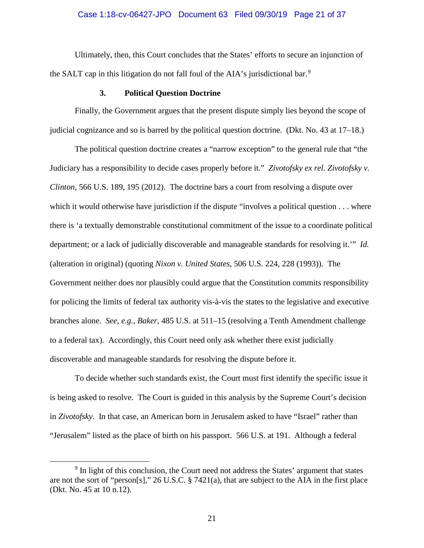#### Case 1:18-cv-06427-JPO Document 63 Filed 09/30/19 Page 21 of 37

Ultimately, then, this Court concludes that the States' efforts to secure an injunction of the SALT cap in this litigation do not fall foul of the AIA's jurisdictional bar.<sup>9</sup>

## **3. Political Question Doctrine**

Finally, the Government argues that the present dispute simply lies beyond the scope of judicial cognizance and so is barred by the political question doctrine. (Dkt. No. 43 at 17–18.)

The political question doctrine creates a "narrow exception" to the general rule that "the Judiciary has a responsibility to decide cases properly before it." *Zivotofsky ex rel. Zivotofsky v. Clinton*, 566 U.S. 189, 195 (2012). The doctrine bars a court from resolving a dispute over which it would otherwise have jurisdiction if the dispute "involves a political question . . . where there is 'a textually demonstrable constitutional commitment of the issue to a coordinate political department; or a lack of judicially discoverable and manageable standards for resolving it.'" *Id.* (alteration in original) (quoting *Nixon v. United States*, 506 U.S. 224, 228 (1993)). The Government neither does nor plausibly could argue that the Constitution commits responsibility for policing the limits of federal tax authority vis-à-vis the states to the legislative and executive branches alone. *See, e.g.*, *Baker*, 485 U.S. at 511–15 (resolving a Tenth Amendment challenge to a federal tax). Accordingly, this Court need only ask whether there exist judicially discoverable and manageable standards for resolving the dispute before it.

To decide whether such standards exist, the Court must first identify the specific issue it is being asked to resolve. The Court is guided in this analysis by the Supreme Court's decision in *Zivotofsky*. In that case, an American born in Jerusalem asked to have "Israel" rather than "Jerusalem" listed as the place of birth on his passport. 566 U.S. at 191. Although a federal

<sup>&</sup>lt;sup>9</sup> In light of this conclusion, the Court need not address the States' argument that states are not the sort of "person[s]," 26 U.S.C. § 7421(a), that are subject to the AIA in the first place (Dkt. No. 45 at 10 n.12).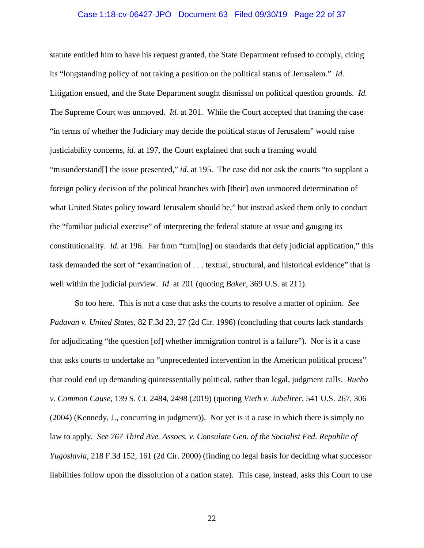#### Case 1:18-cv-06427-JPO Document 63 Filed 09/30/19 Page 22 of 37

statute entitled him to have his request granted, the State Department refused to comply, citing its "longstanding policy of not taking a position on the political status of Jerusalem." *Id.* Litigation ensued, and the State Department sought dismissal on political question grounds. *Id.* The Supreme Court was unmoved. *Id.* at 201. While the Court accepted that framing the case "in terms of whether the Judiciary may decide the political status of Jerusalem" would raise justiciability concerns, *id.* at 197, the Court explained that such a framing would "misunderstand<sup>[]</sup> the issue presented," *id.* at 195. The case did not ask the courts "to supplant a foreign policy decision of the political branches with [their] own unmoored determination of what United States policy toward Jerusalem should be," but instead asked them only to conduct the "familiar judicial exercise" of interpreting the federal statute at issue and gauging its constitutionality. *Id.* at 196. Far from "turn[ing] on standards that defy judicial application," this task demanded the sort of "examination of . . . textual, structural, and historical evidence" that is well within the judicial purview. *Id.* at 201 (quoting *Baker*, 369 U.S. at 211).

So too here. This is not a case that asks the courts to resolve a matter of opinion. *See Padavan v. United States*, 82 F.3d 23, 27 (2d Cir. 1996) (concluding that courts lack standards for adjudicating "the question [of] whether immigration control is a failure"). Nor is it a case that asks courts to undertake an "unprecedented intervention in the American political process" that could end up demanding quintessentially political, rather than legal, judgment calls. *Rucho v. Common Cause*, 139 S. Ct. 2484, 2498 (2019) (quoting *Vieth v. Jubelirer*, 541 U.S. 267, 306 (2004) (Kennedy, J., concurring in judgment)). Nor yet is it a case in which there is simply no law to apply. *See 767 Third Ave. Assocs. v. Consulate Gen. of the Socialist Fed. Republic of Yugoslavia*, 218 F.3d 152, 161 (2d Cir. 2000) (finding no legal basis for deciding what successor liabilities follow upon the dissolution of a nation state). This case, instead, asks this Court to use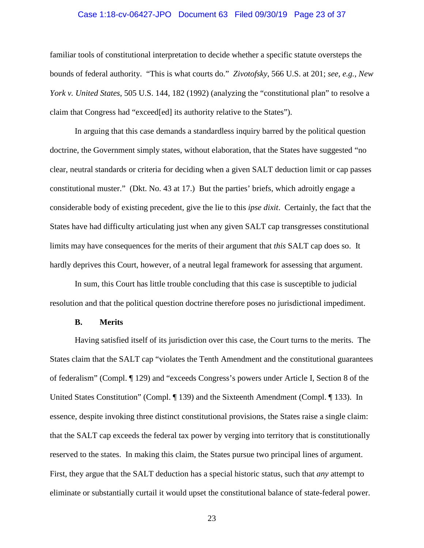#### Case 1:18-cv-06427-JPO Document 63 Filed 09/30/19 Page 23 of 37

familiar tools of constitutional interpretation to decide whether a specific statute oversteps the bounds of federal authority. "This is what courts do." *Zivotofsky*, 566 U.S. at 201; *see, e.g.*, *New York v. United States*, 505 U.S. 144, 182 (1992) (analyzing the "constitutional plan" to resolve a claim that Congress had "exceed[ed] its authority relative to the States").

In arguing that this case demands a standardless inquiry barred by the political question doctrine, the Government simply states, without elaboration, that the States have suggested "no clear, neutral standards or criteria for deciding when a given SALT deduction limit or cap passes constitutional muster." (Dkt. No. 43 at 17.) But the parties' briefs, which adroitly engage a considerable body of existing precedent, give the lie to this *ipse dixit*. Certainly, the fact that the States have had difficulty articulating just when any given SALT cap transgresses constitutional limits may have consequences for the merits of their argument that *this* SALT cap does so. It hardly deprives this Court, however, of a neutral legal framework for assessing that argument.

In sum, this Court has little trouble concluding that this case is susceptible to judicial resolution and that the political question doctrine therefore poses no jurisdictional impediment.

#### **B. Merits**

Having satisfied itself of its jurisdiction over this case, the Court turns to the merits. The States claim that the SALT cap "violates the Tenth Amendment and the constitutional guarantees of federalism" (Compl. ¶ 129) and "exceeds Congress's powers under Article I, Section 8 of the United States Constitution" (Compl. ¶ 139) and the Sixteenth Amendment (Compl. ¶ 133). In essence, despite invoking three distinct constitutional provisions, the States raise a single claim: that the SALT cap exceeds the federal tax power by verging into territory that is constitutionally reserved to the states. In making this claim, the States pursue two principal lines of argument. First, they argue that the SALT deduction has a special historic status, such that *any* attempt to eliminate or substantially curtail it would upset the constitutional balance of state-federal power.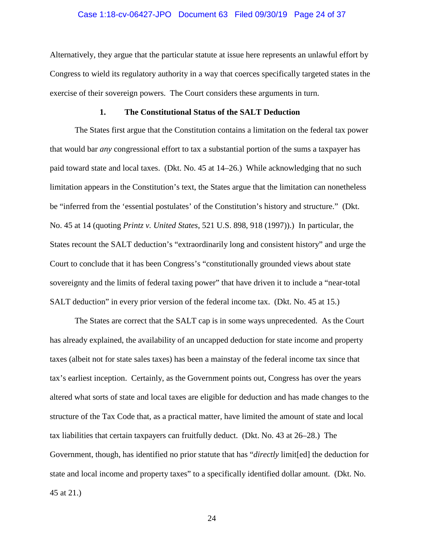#### Case 1:18-cv-06427-JPO Document 63 Filed 09/30/19 Page 24 of 37

Alternatively, they argue that the particular statute at issue here represents an unlawful effort by Congress to wield its regulatory authority in a way that coerces specifically targeted states in the exercise of their sovereign powers. The Court considers these arguments in turn.

### **1. The Constitutional Status of the SALT Deduction**

The States first argue that the Constitution contains a limitation on the federal tax power that would bar *any* congressional effort to tax a substantial portion of the sums a taxpayer has paid toward state and local taxes. (Dkt. No. 45 at 14–26.) While acknowledging that no such limitation appears in the Constitution's text, the States argue that the limitation can nonetheless be "inferred from the 'essential postulates' of the Constitution's history and structure." (Dkt. No. 45 at 14 (quoting *Printz v. United States*, 521 U.S. 898, 918 (1997)).) In particular, the States recount the SALT deduction's "extraordinarily long and consistent history" and urge the Court to conclude that it has been Congress's "constitutionally grounded views about state sovereignty and the limits of federal taxing power" that have driven it to include a "near-total SALT deduction" in every prior version of the federal income tax. (Dkt. No. 45 at 15.)

The States are correct that the SALT cap is in some ways unprecedented. As the Court has already explained, the availability of an uncapped deduction for state income and property taxes (albeit not for state sales taxes) has been a mainstay of the federal income tax since that tax's earliest inception. Certainly, as the Government points out, Congress has over the years altered what sorts of state and local taxes are eligible for deduction and has made changes to the structure of the Tax Code that, as a practical matter, have limited the amount of state and local tax liabilities that certain taxpayers can fruitfully deduct. (Dkt. No. 43 at 26–28.) The Government, though, has identified no prior statute that has "*directly* limit[ed] the deduction for state and local income and property taxes" to a specifically identified dollar amount. (Dkt. No. 45 at 21.)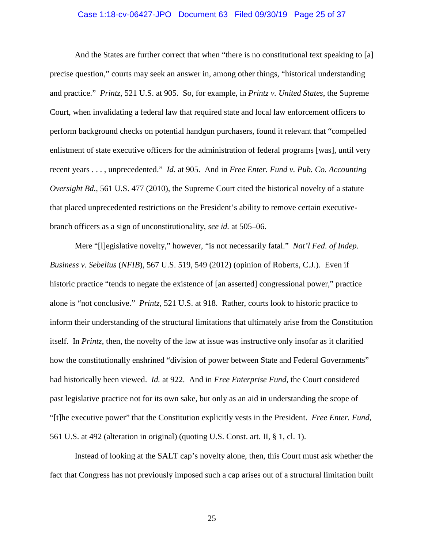#### Case 1:18-cv-06427-JPO Document 63 Filed 09/30/19 Page 25 of 37

And the States are further correct that when "there is no constitutional text speaking to [a] precise question," courts may seek an answer in, among other things, "historical understanding and practice." *Printz*, 521 U.S. at 905. So, for example, in *Printz v. United States*, the Supreme Court, when invalidating a federal law that required state and local law enforcement officers to perform background checks on potential handgun purchasers, found it relevant that "compelled enlistment of state executive officers for the administration of federal programs [was], until very recent years . . . , unprecedented." *Id.* at 905. And in *Free Enter. Fund v. Pub. Co. Accounting Oversight Bd.*, 561 U.S. 477 (2010), the Supreme Court cited the historical novelty of a statute that placed unprecedented restrictions on the President's ability to remove certain executivebranch officers as a sign of unconstitutionality, *see id.* at 505–06.

Mere "[l]egislative novelty," however, "is not necessarily fatal." *Nat'l Fed. of Indep. Business v. Sebelius* (*NFIB*), 567 U.S. 519, 549 (2012) (opinion of Roberts, C.J.). Even if historic practice "tends to negate the existence of [an asserted] congressional power," practice alone is "not conclusive." *Printz*, 521 U.S. at 918. Rather, courts look to historic practice to inform their understanding of the structural limitations that ultimately arise from the Constitution itself. In *Printz*, then, the novelty of the law at issue was instructive only insofar as it clarified how the constitutionally enshrined "division of power between State and Federal Governments" had historically been viewed. *Id.* at 922. And in *Free Enterprise Fund*, the Court considered past legislative practice not for its own sake, but only as an aid in understanding the scope of "[t]he executive power" that the Constitution explicitly vests in the President. *Free Enter. Fund*, 561 U.S. at 492 (alteration in original) (quoting U.S. Const. art. II, § 1, cl. 1).

Instead of looking at the SALT cap's novelty alone, then, this Court must ask whether the fact that Congress has not previously imposed such a cap arises out of a structural limitation built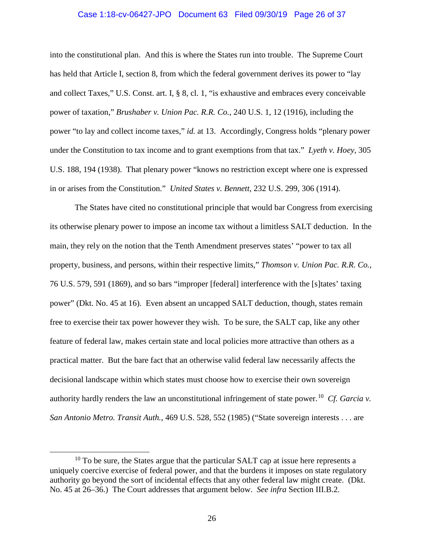#### Case 1:18-cv-06427-JPO Document 63 Filed 09/30/19 Page 26 of 37

into the constitutional plan. And this is where the States run into trouble. The Supreme Court has held that Article I, section 8, from which the federal government derives its power to "lay and collect Taxes," U.S. Const. art. I, § 8, cl. 1, "is exhaustive and embraces every conceivable power of taxation," *Brushaber v. Union Pac. R.R. Co.*, 240 U.S. 1, 12 (1916), including the power "to lay and collect income taxes," *id.* at 13. Accordingly, Congress holds "plenary power under the Constitution to tax income and to grant exemptions from that tax." *Lyeth v. Hoey*, 305 U.S. 188, 194 (1938). That plenary power "knows no restriction except where one is expressed in or arises from the Constitution." *United States v. Bennett*, 232 U.S. 299, 306 (1914).

The States have cited no constitutional principle that would bar Congress from exercising its otherwise plenary power to impose an income tax without a limitless SALT deduction. In the main, they rely on the notion that the Tenth Amendment preserves states' "power to tax all property, business, and persons, within their respective limits," *Thomson v. Union Pac. R.R. Co.*, 76 U.S. 579, 591 (1869), and so bars "improper [federal] interference with the [s]tates' taxing power" (Dkt. No. 45 at 16). Even absent an uncapped SALT deduction, though, states remain free to exercise their tax power however they wish. To be sure, the SALT cap, like any other feature of federal law, makes certain state and local policies more attractive than others as a practical matter. But the bare fact that an otherwise valid federal law necessarily affects the decisional landscape within which states must choose how to exercise their own sovereign authority hardly renders the law an unconstitutional infringement of state power. 10 *Cf. Garcia v. San Antonio Metro. Transit Auth.*, 469 U.S. 528, 552 (1985) ("State sovereign interests . . . are

 $10$  To be sure, the States argue that the particular SALT cap at issue here represents a uniquely coercive exercise of federal power, and that the burdens it imposes on state regulatory authority go beyond the sort of incidental effects that any other federal law might create. (Dkt. No. 45 at 26–36.) The Court addresses that argument below. *See infra* Section III.B.2.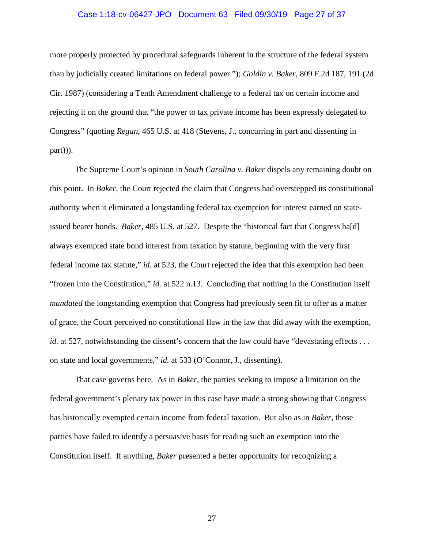#### Case 1:18-cv-06427-JPO Document 63 Filed 09/30/19 Page 27 of 37

more properly protected by procedural safeguards inherent in the structure of the federal system than by judicially created limitations on federal power."); *Goldin v. Baker*, 809 F.2d 187, 191 (2d Cir. 1987) (considering a Tenth Amendment challenge to a federal tax on certain income and rejecting it on the ground that "the power to tax private income has been expressly delegated to Congress" (quoting *Regan*, 465 U.S. at 418 (Stevens, J., concurring in part and dissenting in part))).

The Supreme Court's opinion in *South Carolina v. Baker* dispels any remaining doubt on this point. In *Baker*, the Court rejected the claim that Congress had overstepped its constitutional authority when it eliminated a longstanding federal tax exemption for interest earned on stateissued bearer bonds. *Baker*, 485 U.S. at 527. Despite the "historical fact that Congress ha[d] always exempted state bond interest from taxation by statute, beginning with the very first federal income tax statute," *id.* at 523, the Court rejected the idea that this exemption had been "frozen into the Constitution," *id.* at 522 n.13. Concluding that nothing in the Constitution itself *mandated* the longstanding exemption that Congress had previously seen fit to offer as a matter of grace, the Court perceived no constitutional flaw in the law that did away with the exemption, *id.* at 527, notwithstanding the dissent's concern that the law could have "devastating effects... on state and local governments," *id.* at 533 (O'Connor, J., dissenting).

That case governs here. As in *Baker*, the parties seeking to impose a limitation on the federal government's plenary tax power in this case have made a strong showing that Congress has historically exempted certain income from federal taxation. But also as in *Baker*, those parties have failed to identify a persuasive basis for reading such an exemption into the Constitution itself. If anything, *Baker* presented a better opportunity for recognizing a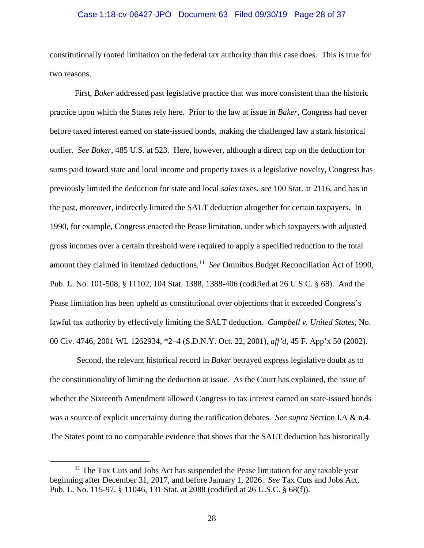# Case 1:18-cv-06427-JPO Document 63 Filed 09/30/19 Page 28 of 37

constitutionally rooted limitation on the federal tax authority than this case does. This is true for two reasons.

First, *Baker* addressed past legislative practice that was more consistent than the historic practice upon which the States rely here. Prior to the law at issue in *Baker*, Congress had never before taxed interest earned on state-issued bonds, making the challenged law a stark historical outlier. *See Baker*, 485 U.S. at 523. Here, however, although a direct cap on the deduction for sums paid toward state and local income and property taxes is a legislative novelty, Congress has previously limited the deduction for state and local *sales* taxes, *see* 100 Stat. at 2116, and has in the past, moreover, indirectly limited the SALT deduction altogether for certain taxpayers. In 1990, for example, Congress enacted the Pease limitation, under which taxpayers with adjusted gross incomes over a certain threshold were required to apply a specified reduction to the total amount they claimed in itemized deductions. 11 *See* Omnibus Budget Reconciliation Act of 1990, Pub. L. No. 101-508, § 11102, 104 Stat. 1388, 1388-406 (codified at 26 U.S.C. § 68). And the Pease limitation has been upheld as constitutional over objections that it exceeded Congress's lawful tax authority by effectively limiting the SALT deduction. *Campbell v. United States*, No. 00 Civ. 4746, 2001 WL 1262934, \*2–4 (S.D.N.Y. Oct. 22, 2001), *aff'd*, 45 F. App'x 50 (2002).

Second, the relevant historical record in *Baker* betrayed express legislative doubt as to the constitutionality of limiting the deduction at issue. As the Court has explained, the issue of whether the Sixteenth Amendment allowed Congress to tax interest earned on state-issued bonds was a source of explicit uncertainty during the ratification debates. *See supra* Section I.A & n.4. The States point to no comparable evidence that shows that the SALT deduction has historically

 $11$  The Tax Cuts and Jobs Act has suspended the Pease limitation for any taxable year beginning after December 31, 2017, and before January 1, 2026. *See* Tax Cuts and Jobs Act, Pub. L. No. 115-97, § 11046, 131 Stat. at 2088 (codified at 26 U.S.C. § 68(f)).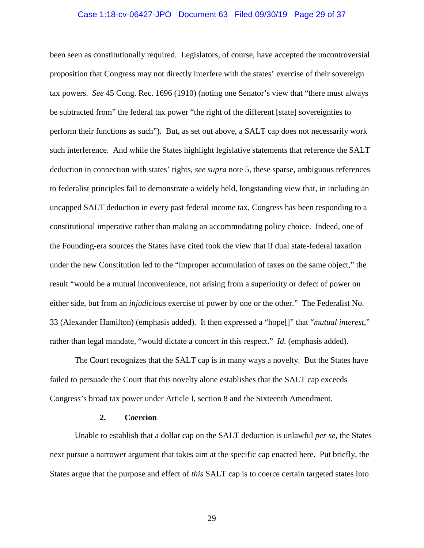#### Case 1:18-cv-06427-JPO Document 63 Filed 09/30/19 Page 29 of 37

been seen as constitutionally required. Legislators, of course, have accepted the uncontroversial proposition that Congress may not directly interfere with the states' exercise of their sovereign tax powers. *See* 45 Cong. Rec. 1696 (1910) (noting one Senator's view that "there must always be subtracted from" the federal tax power "the right of the different [state] sovereignties to perform their functions as such"). But, as set out above, a SALT cap does not necessarily work such interference. And while the States highlight legislative statements that reference the SALT deduction in connection with states' rights, *see supra* note 5, these sparse, ambiguous references to federalist principles fail to demonstrate a widely held, longstanding view that, in including an uncapped SALT deduction in every past federal income tax, Congress has been responding to a constitutional imperative rather than making an accommodating policy choice. Indeed, one of the Founding-era sources the States have cited took the view that if dual state-federal taxation under the new Constitution led to the "improper accumulation of taxes on the same object," the result "would be a mutual inconvenience, not arising from a superiority or defect of power on either side, but from an *injudicious* exercise of power by one or the other." The Federalist No. 33 (Alexander Hamilton) (emphasis added). It then expressed a "hope[]" that "*mutual interest*," rather than legal mandate, "would dictate a concert in this respect." *Id.* (emphasis added).

The Court recognizes that the SALT cap is in many ways a novelty. But the States have failed to persuade the Court that this novelty alone establishes that the SALT cap exceeds Congress's broad tax power under Article I, section 8 and the Sixteenth Amendment.

### **2. Coercion**

Unable to establish that a dollar cap on the SALT deduction is unlawful *per se*, the States next pursue a narrower argument that takes aim at the specific cap enacted here. Put briefly, the States argue that the purpose and effect of *this* SALT cap is to coerce certain targeted states into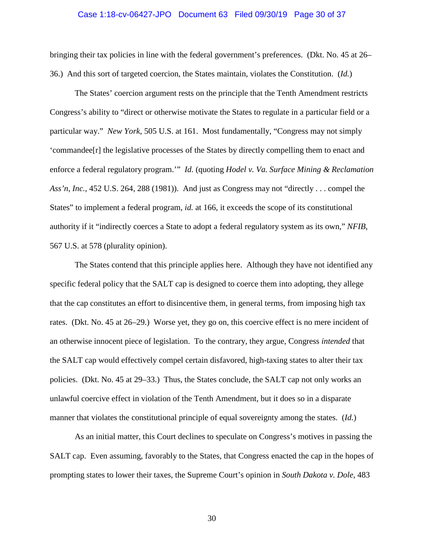#### Case 1:18-cv-06427-JPO Document 63 Filed 09/30/19 Page 30 of 37

bringing their tax policies in line with the federal government's preferences. (Dkt. No. 45 at 26– 36.) And this sort of targeted coercion, the States maintain, violates the Constitution. (*Id.*)

The States' coercion argument rests on the principle that the Tenth Amendment restricts Congress's ability to "direct or otherwise motivate the States to regulate in a particular field or a particular way." *New York*, 505 U.S. at 161. Most fundamentally, "Congress may not simply 'commandee[r] the legislative processes of the States by directly compelling them to enact and enforce a federal regulatory program.'" *Id.* (quoting *Hodel v. Va. Surface Mining & Reclamation Ass'n, Inc.*, 452 U.S. 264, 288 (1981)). And just as Congress may not "directly . . . compel the States" to implement a federal program, *id.* at 166, it exceeds the scope of its constitutional authority if it "indirectly coerces a State to adopt a federal regulatory system as its own," *NFIB*, 567 U.S. at 578 (plurality opinion).

The States contend that this principle applies here. Although they have not identified any specific federal policy that the SALT cap is designed to coerce them into adopting, they allege that the cap constitutes an effort to disincentive them, in general terms, from imposing high tax rates. (Dkt. No. 45 at 26–29.) Worse yet, they go on, this coercive effect is no mere incident of an otherwise innocent piece of legislation. To the contrary, they argue, Congress *intended* that the SALT cap would effectively compel certain disfavored, high-taxing states to alter their tax policies. (Dkt. No. 45 at 29–33.) Thus, the States conclude, the SALT cap not only works an unlawful coercive effect in violation of the Tenth Amendment, but it does so in a disparate manner that violates the constitutional principle of equal sovereignty among the states. (*Id.*)

As an initial matter, this Court declines to speculate on Congress's motives in passing the SALT cap. Even assuming, favorably to the States, that Congress enacted the cap in the hopes of prompting states to lower their taxes, the Supreme Court's opinion in *South Dakota v. Dole*, 483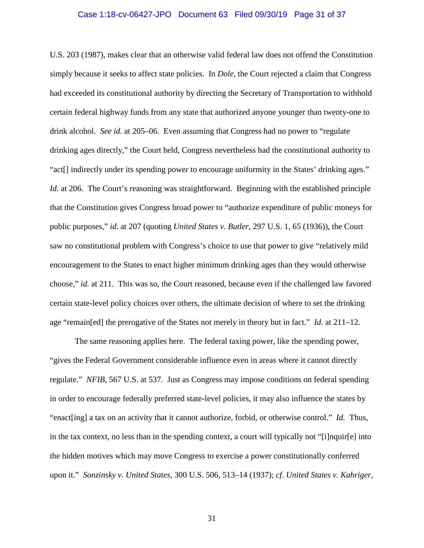#### Case 1:18-cv-06427-JPO Document 63 Filed 09/30/19 Page 31 of 37

U.S. 203 (1987), makes clear that an otherwise valid federal law does not offend the Constitution simply because it seeks to affect state policies. In *Dole*, the Court rejected a claim that Congress had exceeded its constitutional authority by directing the Secretary of Transportation to withhold certain federal highway funds from any state that authorized anyone younger than twenty-one to drink alcohol. *See id.* at 205–06. Even assuming that Congress had no power to "regulate drinking ages directly," the Court held, Congress nevertheless had the constitutional authority to "act[] indirectly under its spending power to encourage uniformity in the States' drinking ages." *Id.* at 206. The Court's reasoning was straightforward. Beginning with the established principle that the Constitution gives Congress broad power to "authorize expenditure of public moneys for public purposes," *id.* at 207 (quoting *United States v. Butler*, 297 U.S. 1, 65 (1936)), the Court saw no constitutional problem with Congress's choice to use that power to give "relatively mild encouragement to the States to enact higher minimum drinking ages than they would otherwise choose," *id.* at 211. This was so, the Court reasoned, because even if the challenged law favored certain state-level policy choices over others, the ultimate decision of where to set the drinking age "remain[ed] the prerogative of the States not merely in theory but in fact." *Id.* at 211–12.

The same reasoning applies here. The federal taxing power, like the spending power, "gives the Federal Government considerable influence even in areas where it cannot directly regulate." *NFIB*, 567 U.S. at 537. Just as Congress may impose conditions on federal spending in order to encourage federally preferred state-level policies, it may also influence the states by "enact[ing] a tax on an activity that it cannot authorize, forbid, or otherwise control." *Id.* Thus, in the tax context, no less than in the spending context, a court will typically not "[i]nquir[e] into the hidden motives which may move Congress to exercise a power constitutionally conferred upon it." *Sonzinsky v. United States*, 300 U.S. 506, 513–14 (1937); *cf. United States v. Kahriger*,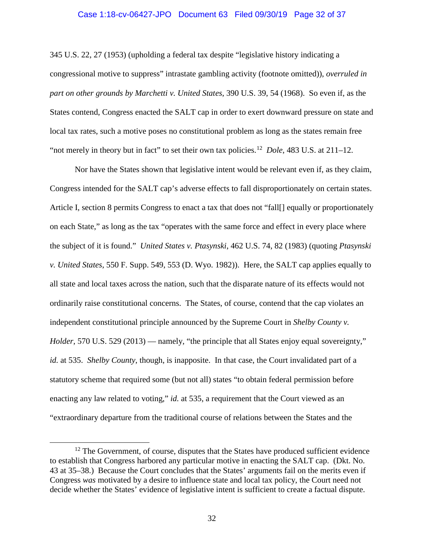#### Case 1:18-cv-06427-JPO Document 63 Filed 09/30/19 Page 32 of 37

345 U.S. 22, 27 (1953) (upholding a federal tax despite "legislative history indicating a congressional motive to suppress" intrastate gambling activity (footnote omitted)), *overruled in part on other grounds by Marchetti v. United States*, 390 U.S. 39, 54 (1968). So even if, as the States contend, Congress enacted the SALT cap in order to exert downward pressure on state and local tax rates, such a motive poses no constitutional problem as long as the states remain free "not merely in theory but in fact" to set their own tax policies.<sup>12</sup> *Dole*, 483 U.S. at 211–12.

Nor have the States shown that legislative intent would be relevant even if, as they claim, Congress intended for the SALT cap's adverse effects to fall disproportionately on certain states. Article I, section 8 permits Congress to enact a tax that does not "fall | equally or proportionately on each State," as long as the tax "operates with the same force and effect in every place where the subject of it is found." *United States v. Ptasynski*, 462 U.S. 74, 82 (1983) (quoting *Ptasynski v. United States*, 550 F. Supp. 549, 553 (D. Wyo. 1982)). Here, the SALT cap applies equally to all state and local taxes across the nation, such that the disparate nature of its effects would not ordinarily raise constitutional concerns. The States, of course, contend that the cap violates an independent constitutional principle announced by the Supreme Court in *Shelby County v. Holder*, 570 U.S. 529 (2013) — namely, "the principle that all States enjoy equal sovereignty," *id.* at 535. *Shelby County*, though, is inapposite. In that case, the Court invalidated part of a statutory scheme that required some (but not all) states "to obtain federal permission before enacting any law related to voting," *id.* at 535, a requirement that the Court viewed as an "extraordinary departure from the traditional course of relations between the States and the

 $12$  The Government, of course, disputes that the States have produced sufficient evidence to establish that Congress harbored any particular motive in enacting the SALT cap. (Dkt. No. 43 at 35–38.) Because the Court concludes that the States' arguments fail on the merits even if Congress *was* motivated by a desire to influence state and local tax policy, the Court need not decide whether the States' evidence of legislative intent is sufficient to create a factual dispute.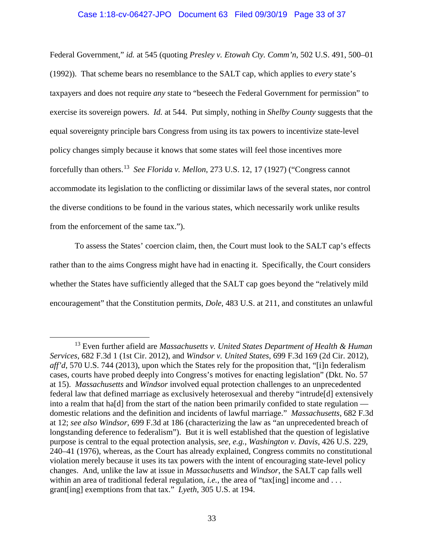## Case 1:18-cv-06427-JPO Document 63 Filed 09/30/19 Page 33 of 37

Federal Government," *id.* at 545 (quoting *Presley v. Etowah Cty. Comm'n*, 502 U.S. 491, 500–01 (1992)). That scheme bears no resemblance to the SALT cap, which applies to *every* state's taxpayers and does not require *any* state to "beseech the Federal Government for permission" to exercise its sovereign powers. *Id.* at 544. Put simply, nothing in *Shelby County* suggests that the equal sovereignty principle bars Congress from using its tax powers to incentivize state-level policy changes simply because it knows that some states will feel those incentives more forcefully than others. 13 *See Florida v. Mellon*, 273 U.S. 12, 17 (1927) ("Congress cannot accommodate its legislation to the conflicting or dissimilar laws of the several states, nor control the diverse conditions to be found in the various states, which necessarily work unlike results from the enforcement of the same tax.").

To assess the States' coercion claim, then, the Court must look to the SALT cap's effects rather than to the aims Congress might have had in enacting it. Specifically, the Court considers whether the States have sufficiently alleged that the SALT cap goes beyond the "relatively mild" encouragement" that the Constitution permits, *Dole*, 483 U.S. at 211, and constitutes an unlawful

 <sup>13</sup> Even further afield are *Massachusetts v. United States Department of Health & Human Services*, 682 F.3d 1 (1st Cir. 2012), and *Windsor v. United States*, 699 F.3d 169 (2d Cir. 2012), *aff'd*, 570 U.S. 744 (2013), upon which the States rely for the proposition that, "[i]n federalism cases, courts have probed deeply into Congress's motives for enacting legislation" (Dkt. No. 57 at 15). *Massachusetts* and *Windsor* involved equal protection challenges to an unprecedented federal law that defined marriage as exclusively heterosexual and thereby "intrude[d] extensively into a realm that ha[d] from the start of the nation been primarily confided to state regulation domestic relations and the definition and incidents of lawful marriage." *Massachusetts*, 682 F.3d at 12; *see also Windsor*, 699 F.3d at 186 (characterizing the law as "an unprecedented breach of longstanding deference to federalism"). But it is well established that the question of legislative purpose is central to the equal protection analysis, *see, e.g.*, *Washington v. Davis*, 426 U.S. 229, 240–41 (1976), whereas, as the Court has already explained, Congress commits no constitutional violation merely because it uses its tax powers with the intent of encouraging state-level policy changes. And, unlike the law at issue in *Massachusetts* and *Windsor*, the SALT cap falls well within an area of traditional federal regulation, *i.e.*, the area of "tax[ing] income and ... grant[ing] exemptions from that tax." *Lyeth*, 305 U.S. at 194.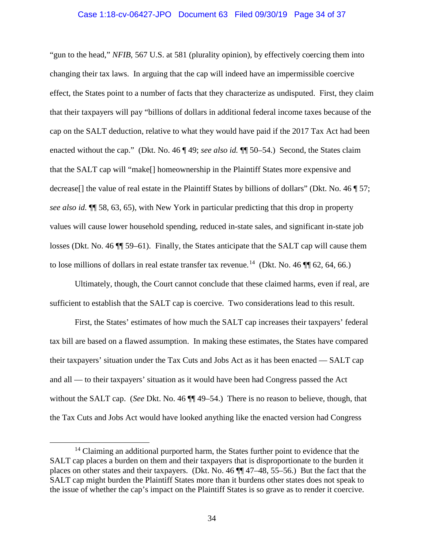### Case 1:18-cv-06427-JPO Document 63 Filed 09/30/19 Page 34 of 37

"gun to the head," *NFIB*, 567 U.S. at 581 (plurality opinion), by effectively coercing them into changing their tax laws. In arguing that the cap will indeed have an impermissible coercive effect, the States point to a number of facts that they characterize as undisputed. First, they claim that their taxpayers will pay "billions of dollars in additional federal income taxes because of the cap on the SALT deduction, relative to what they would have paid if the 2017 Tax Act had been enacted without the cap." (Dkt. No. 46 ¶ 49; *see also id.* ¶¶ 50–54.) Second, the States claim that the SALT cap will "make[] homeownership in the Plaintiff States more expensive and decrease[] the value of real estate in the Plaintiff States by billions of dollars" (Dkt. No. 46 ¶ 57; *see also id.* ¶¶ 58, 63, 65), with New York in particular predicting that this drop in property values will cause lower household spending, reduced in-state sales, and significant in-state job losses (Dkt. No. 46 ¶¶ 59–61). Finally, the States anticipate that the SALT cap will cause them to lose millions of dollars in real estate transfer tax revenue.<sup>14</sup> (Dkt. No. 46  $\P$  $[62, 64, 66]$ )

Ultimately, though, the Court cannot conclude that these claimed harms, even if real, are sufficient to establish that the SALT cap is coercive. Two considerations lead to this result.

First, the States' estimates of how much the SALT cap increases their taxpayers' federal tax bill are based on a flawed assumption. In making these estimates, the States have compared their taxpayers' situation under the Tax Cuts and Jobs Act as it has been enacted — SALT cap and all — to their taxpayers' situation as it would have been had Congress passed the Act without the SALT cap. (*See* Dkt. No. 46 ¶¶ 49–54.) There is no reason to believe, though, that the Tax Cuts and Jobs Act would have looked anything like the enacted version had Congress

<sup>&</sup>lt;sup>14</sup> Claiming an additional purported harm, the States further point to evidence that the SALT cap places a burden on them and their taxpayers that is disproportionate to the burden it places on other states and their taxpayers. (Dkt. No. 46 ¶¶ 47–48, 55–56.) But the fact that the SALT cap might burden the Plaintiff States more than it burdens other states does not speak to the issue of whether the cap's impact on the Plaintiff States is so grave as to render it coercive.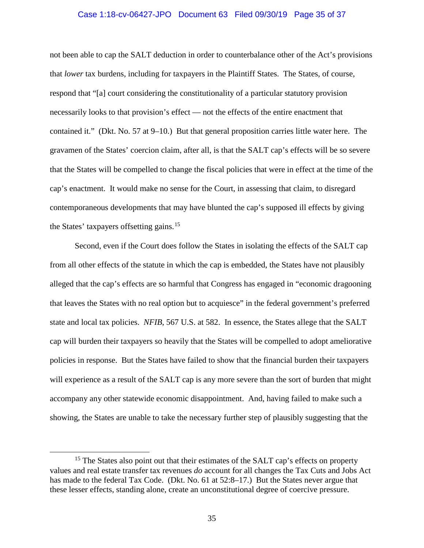#### Case 1:18-cv-06427-JPO Document 63 Filed 09/30/19 Page 35 of 37

not been able to cap the SALT deduction in order to counterbalance other of the Act's provisions that *lower* tax burdens, including for taxpayers in the Plaintiff States. The States, of course, respond that "[a] court considering the constitutionality of a particular statutory provision necessarily looks to that provision's effect — not the effects of the entire enactment that contained it." (Dkt. No. 57 at 9–10.) But that general proposition carries little water here. The gravamen of the States' coercion claim, after all, is that the SALT cap's effects will be so severe that the States will be compelled to change the fiscal policies that were in effect at the time of the cap's enactment. It would make no sense for the Court, in assessing that claim, to disregard contemporaneous developments that may have blunted the cap's supposed ill effects by giving the States' taxpayers offsetting gains.<sup>15</sup>

Second, even if the Court does follow the States in isolating the effects of the SALT cap from all other effects of the statute in which the cap is embedded, the States have not plausibly alleged that the cap's effects are so harmful that Congress has engaged in "economic dragooning that leaves the States with no real option but to acquiesce" in the federal government's preferred state and local tax policies. *NFIB*, 567 U.S. at 582. In essence, the States allege that the SALT cap will burden their taxpayers so heavily that the States will be compelled to adopt ameliorative policies in response. But the States have failed to show that the financial burden their taxpayers will experience as a result of the SALT cap is any more severe than the sort of burden that might accompany any other statewide economic disappointment. And, having failed to make such a showing, the States are unable to take the necessary further step of plausibly suggesting that the

<sup>&</sup>lt;sup>15</sup> The States also point out that their estimates of the SALT cap's effects on property values and real estate transfer tax revenues *do* account for all changes the Tax Cuts and Jobs Act has made to the federal Tax Code. (Dkt. No. 61 at 52:8–17.) But the States never argue that these lesser effects, standing alone, create an unconstitutional degree of coercive pressure.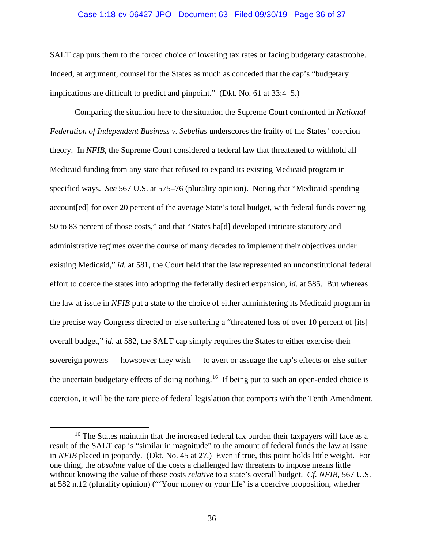#### Case 1:18-cv-06427-JPO Document 63 Filed 09/30/19 Page 36 of 37

SALT cap puts them to the forced choice of lowering tax rates or facing budgetary catastrophe. Indeed, at argument, counsel for the States as much as conceded that the cap's "budgetary implications are difficult to predict and pinpoint." (Dkt. No. 61 at 33:4–5.)

Comparing the situation here to the situation the Supreme Court confronted in *National Federation of Independent Business v. Sebelius* underscores the frailty of the States' coercion theory. In *NFIB*, the Supreme Court considered a federal law that threatened to withhold all Medicaid funding from any state that refused to expand its existing Medicaid program in specified ways. *See* 567 U.S. at 575–76 (plurality opinion). Noting that "Medicaid spending account[ed] for over 20 percent of the average State's total budget, with federal funds covering 50 to 83 percent of those costs," and that "States ha[d] developed intricate statutory and administrative regimes over the course of many decades to implement their objectives under existing Medicaid," *id.* at 581, the Court held that the law represented an unconstitutional federal effort to coerce the states into adopting the federally desired expansion, *id.* at 585. But whereas the law at issue in *NFIB* put a state to the choice of either administering its Medicaid program in the precise way Congress directed or else suffering a "threatened loss of over 10 percent of [its] overall budget," *id.* at 582, the SALT cap simply requires the States to either exercise their sovereign powers — howsoever they wish — to avert or assuage the cap's effects or else suffer the uncertain budgetary effects of doing nothing.<sup>16</sup> If being put to such an open-ended choice is coercion, it will be the rare piece of federal legislation that comports with the Tenth Amendment.

<sup>&</sup>lt;sup>16</sup> The States maintain that the increased federal tax burden their taxpayers will face as a result of the SALT cap is "similar in magnitude" to the amount of federal funds the law at issue in *NFIB* placed in jeopardy. (Dkt. No. 45 at 27.) Even if true, this point holds little weight. For one thing, the *absolute* value of the costs a challenged law threatens to impose means little without knowing the value of those costs *relative* to a state's overall budget. *Cf. NFIB*, 567 U.S. at 582 n.12 (plurality opinion) ("'Your money or your life' is a coercive proposition, whether